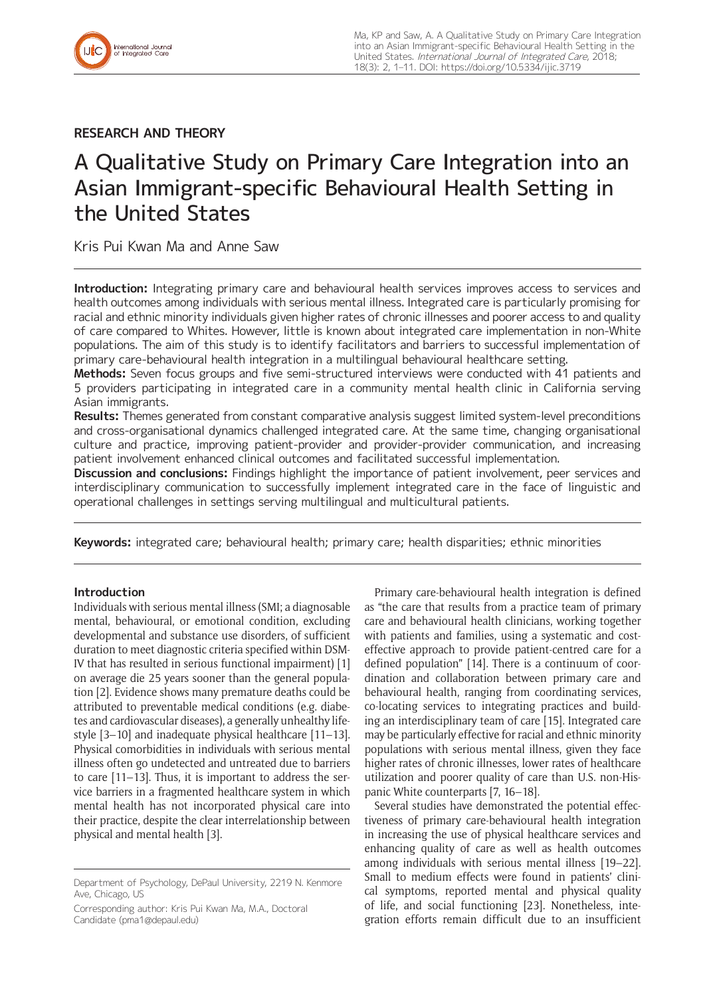

**RESEARCH AND THEORY**

# A Qualitative Study on Primary Care Integration into an Asian Immigrant-specific Behavioural Health Setting in the United States

Kris Pui Kwan Ma and Anne Saw

**Introduction:** Integrating primary care and behavioural health services improves access to services and health outcomes among individuals with serious mental illness. Integrated care is particularly promising for racial and ethnic minority individuals given higher rates of chronic illnesses and poorer access to and quality of care compared to Whites. However, little is known about integrated care implementation in non-White populations. The aim of this study is to identify facilitators and barriers to successful implementation of primary care-behavioural health integration in a multilingual behavioural healthcare setting.

**Methods:** Seven focus groups and five semi-structured interviews were conducted with 41 patients and 5 providers participating in integrated care in a community mental health clinic in California serving Asian immigrants.

**Results:** Themes generated from constant comparative analysis suggest limited system-level preconditions and cross-organisational dynamics challenged integrated care. At the same time, changing organisational culture and practice, improving patient-provider and provider-provider communication, and increasing patient involvement enhanced clinical outcomes and facilitated successful implementation.

**Discussion and conclusions:** Findings highlight the importance of patient involvement, peer services and interdisciplinary communication to successfully implement integrated care in the face of linguistic and operational challenges in settings serving multilingual and multicultural patients.

**Keywords:** integrated care; behavioural health; primary care; health disparities; ethnic minorities

## **Introduction**

Individuals with serious mental illness (SMI; a diagnosable mental, behavioural, or emotional condition, excluding developmental and substance use disorders, of sufficient duration to meet diagnostic criteria specified within DSM-IV that has resulted in serious functional impairment) [1] on average die 25 years sooner than the general population [2]. Evidence shows many premature deaths could be attributed to preventable medical conditions (e.g. diabetes and cardiovascular diseases), a generally unhealthy lifestyle [3–10] and inadequate physical healthcare [11–13]. Physical comorbidities in individuals with serious mental illness often go undetected and untreated due to barriers to care [11–13]. Thus, it is important to address the service barriers in a fragmented healthcare system in which mental health has not incorporated physical care into their practice, despite the clear interrelationship between physical and mental health [3].

Corresponding author: Kris Pui Kwan Ma, M.A., Doctoral Candidate [\(pma1@depaul.edu\)](mailto:pma1@depaul.edu)

Primary care-behavioural health integration is defined as "the care that results from a practice team of primary care and behavioural health clinicians, working together with patients and families, using a systematic and costeffective approach to provide patient-centred care for a defined population" [14]. There is a continuum of coordination and collaboration between primary care and behavioural health, ranging from coordinating services, co-locating services to integrating practices and building an interdisciplinary team of care [15]. Integrated care may be particularly effective for racial and ethnic minority populations with serious mental illness, given they face higher rates of chronic illnesses, lower rates of healthcare utilization and poorer quality of care than U.S. non-Hispanic White counterparts [7, 16–18].

Several studies have demonstrated the potential effectiveness of primary care-behavioural health integration in increasing the use of physical healthcare services and enhancing quality of care as well as health outcomes among individuals with serious mental illness [19–22]. Small to medium effects were found in patients' clinical symptoms, reported mental and physical quality of life, and social functioning [23]. Nonetheless, integration efforts remain difficult due to an insufficient

Department of Psychology, DePaul University, 2219 N. Kenmore Ave, Chicago, US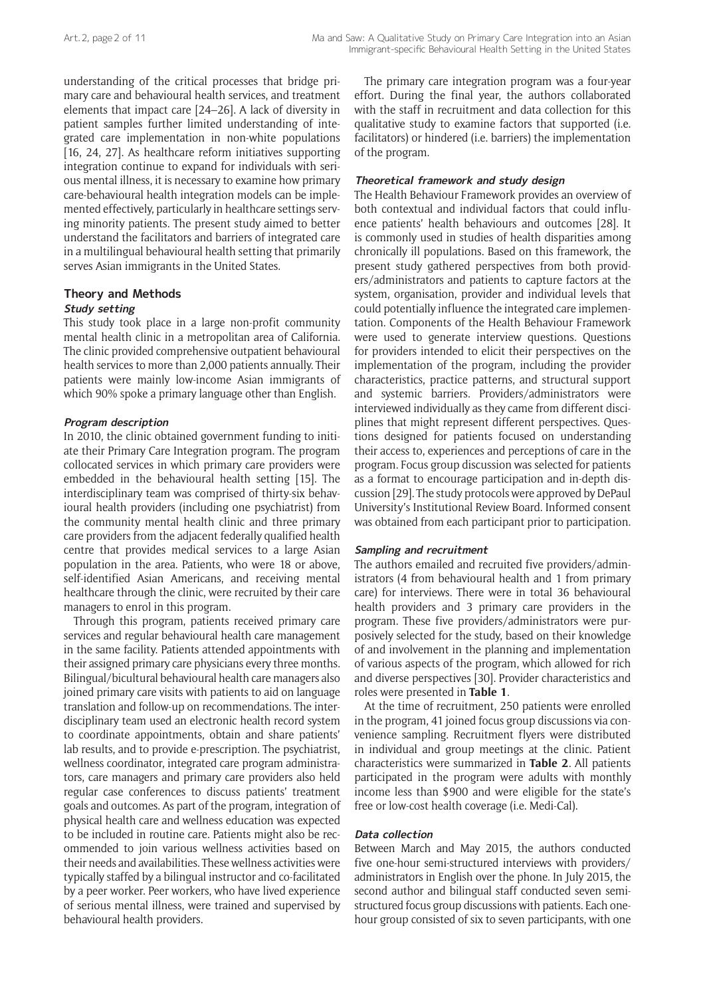understanding of the critical processes that bridge primary care and behavioural health services, and treatment elements that impact care [24–26]. A lack of diversity in patient samples further limited understanding of integrated care implementation in non-white populations [16, 24, 27]. As healthcare reform initiatives supporting integration continue to expand for individuals with serious mental illness, it is necessary to examine how primary care-behavioural health integration models can be implemented effectively, particularly in healthcare settings serving minority patients. The present study aimed to better understand the facilitators and barriers of integrated care in a multilingual behavioural health setting that primarily serves Asian immigrants in the United States.

## **Theory and Methods**

#### **Study setting**

This study took place in a large non-profit community mental health clinic in a metropolitan area of California. The clinic provided comprehensive outpatient behavioural health services to more than 2,000 patients annually. Their patients were mainly low-income Asian immigrants of which 90% spoke a primary language other than English.

#### **Program description**

In 2010, the clinic obtained government funding to initiate their Primary Care Integration program. The program collocated services in which primary care providers were embedded in the behavioural health setting [15]. The interdisciplinary team was comprised of thirty-six behavioural health providers (including one psychiatrist) from the community mental health clinic and three primary care providers from the adjacent federally qualified health centre that provides medical services to a large Asian population in the area. Patients, who were 18 or above, self-identified Asian Americans, and receiving mental healthcare through the clinic, were recruited by their care managers to enrol in this program.

Through this program, patients received primary care services and regular behavioural health care management in the same facility. Patients attended appointments with their assigned primary care physicians every three months. Bilingual/bicultural behavioural health care managers also joined primary care visits with patients to aid on language translation and follow-up on recommendations. The interdisciplinary team used an electronic health record system to coordinate appointments, obtain and share patients' lab results, and to provide e-prescription. The psychiatrist, wellness coordinator, integrated care program administrators, care managers and primary care providers also held regular case conferences to discuss patients' treatment goals and outcomes. As part of the program, integration of physical health care and wellness education was expected to be included in routine care. Patients might also be recommended to join various wellness activities based on their needs and availabilities. These wellness activities were typically staffed by a bilingual instructor and co-facilitated by a peer worker. Peer workers, who have lived experience of serious mental illness, were trained and supervised by behavioural health providers.

The primary care integration program was a four-year effort. During the final year, the authors collaborated with the staff in recruitment and data collection for this qualitative study to examine factors that supported (i.e. facilitators) or hindered (i.e. barriers) the implementation of the program.

#### **Theoretical framework and study design**

The Health Behaviour Framework provides an overview of both contextual and individual factors that could influence patients' health behaviours and outcomes [28]. It is commonly used in studies of health disparities among chronically ill populations. Based on this framework, the present study gathered perspectives from both providers/administrators and patients to capture factors at the system, organisation, provider and individual levels that could potentially influence the integrated care implementation. Components of the Health Behaviour Framework were used to generate interview questions. Questions for providers intended to elicit their perspectives on the implementation of the program, including the provider characteristics, practice patterns, and structural support and systemic barriers. Providers/administrators were interviewed individually as they came from different disciplines that might represent different perspectives. Questions designed for patients focused on understanding their access to, experiences and perceptions of care in the program. Focus group discussion was selected for patients as a format to encourage participation and in-depth discussion [29]. The study protocols were approved by DePaul University's Institutional Review Board. Informed consent was obtained from each participant prior to participation.

#### **Sampling and recruitment**

The authors emailed and recruited five providers/administrators (4 from behavioural health and 1 from primary care) for interviews. There were in total 36 behavioural health providers and 3 primary care providers in the program. These five providers/administrators were purposively selected for the study, based on their knowledge of and involvement in the planning and implementation of various aspects of the program, which allowed for rich and diverse perspectives [30]. Provider characteristics and roles were presented in **Table 1**.

At the time of recruitment, 250 patients were enrolled in the program, 41 joined focus group discussions via convenience sampling. Recruitment flyers were distributed in individual and group meetings at the clinic. Patient characteristics were summarized in **Table 2**. All patients participated in the program were adults with monthly income less than \$900 and were eligible for the state's free or low-cost health coverage (i.e. Medi-Cal).

#### **Data collection**

Between March and May 2015, the authors conducted five one-hour semi-structured interviews with providers/ administrators in English over the phone. In July 2015, the second author and bilingual staff conducted seven semistructured focus group discussions with patients. Each onehour group consisted of six to seven participants, with one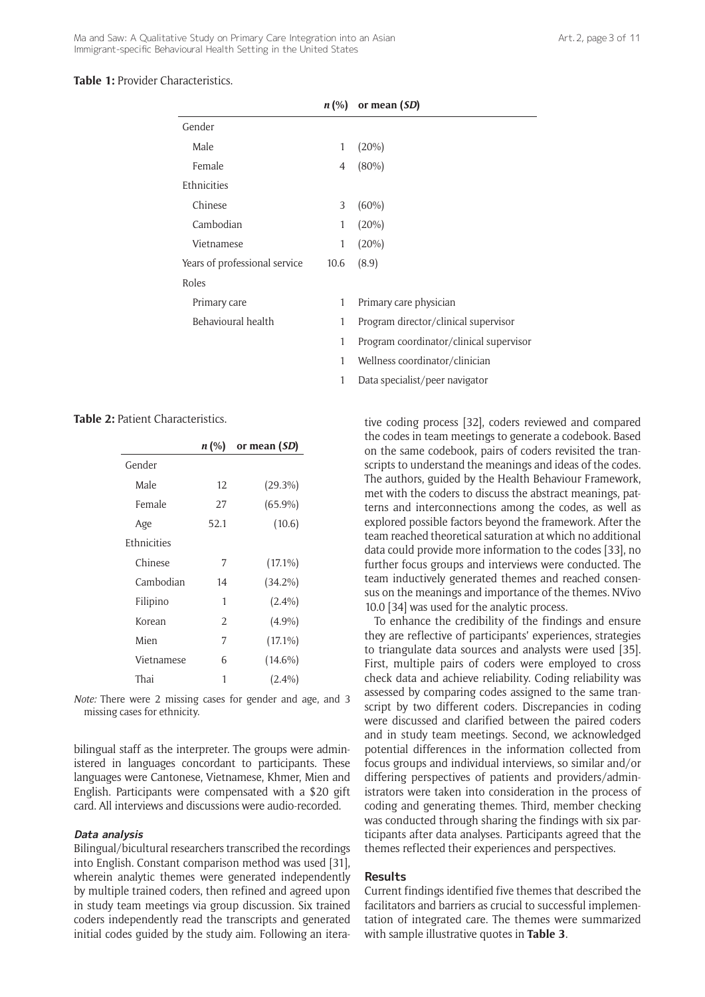## **Table 1:** Provider Characteristics.

|                               | $n \, (%)$ | or mean (SD)                            |
|-------------------------------|------------|-----------------------------------------|
| Gender                        |            |                                         |
| Male                          | 1          | $(20\%)$                                |
| Female                        | 4          | $(80\%)$                                |
| Ethnicities                   |            |                                         |
| Chinese                       | 3          | $(60\%)$                                |
| Cambodian                     | 1          | $(20\%)$                                |
| Vietnamese                    | 1          | $(20\%)$                                |
| Years of professional service | 10.6       | (8.9)                                   |
| Roles                         |            |                                         |
| Primary care                  | 1          | Primary care physician                  |
| Behavioural health            | 1          | Program director/clinical supervisor    |
|                               | 1          | Program coordinator/clinical supervisor |
|                               | 1          | Wellness coordinator/clinician          |

1 Data specialist/peer navigator

#### **Table 2:** Patient Characteristics.

| n (%) | or mean (SD) |
|-------|--------------|
|       |              |
| 12    | $(29.3\%)$   |
| 27    | $(65.9\%)$   |
| 52.1  | (10.6)       |
|       |              |
| 7     | $(17.1\%)$   |
| 14    | $(34.2\%)$   |
| 1     | $(2.4\%)$    |
| 2     | $(4.9\%)$    |
| 7     | $(17.1\%)$   |
| 6     | $(14.6\%)$   |
| 1     | $(2.4\%)$    |
|       |              |

*Note:* There were 2 missing cases for gender and age, and 3 missing cases for ethnicity.

bilingual staff as the interpreter. The groups were administered in languages concordant to participants. These languages were Cantonese, Vietnamese, Khmer, Mien and English. Participants were compensated with a \$20 gift card. All interviews and discussions were audio-recorded.

## **Data analysis**

Bilingual/bicultural researchers transcribed the recordings into English. Constant comparison method was used [31], wherein analytic themes were generated independently by multiple trained coders, then refined and agreed upon in study team meetings via group discussion. Six trained coders independently read the transcripts and generated initial codes guided by the study aim. Following an iterative coding process [32], coders reviewed and compared the codes in team meetings to generate a codebook. Based on the same codebook, pairs of coders revisited the transcripts to understand the meanings and ideas of the codes. The authors, guided by the Health Behaviour Framework, met with the coders to discuss the abstract meanings, patterns and interconnections among the codes, as well as explored possible factors beyond the framework. After the team reached theoretical saturation at which no additional data could provide more information to the codes [33], no further focus groups and interviews were conducted. The team inductively generated themes and reached consensus on the meanings and importance of the themes. NVivo 10.0 [34] was used for the analytic process.

To enhance the credibility of the findings and ensure they are reflective of participants' experiences, strategies to triangulate data sources and analysts were used [35]. First, multiple pairs of coders were employed to cross check data and achieve reliability. Coding reliability was assessed by comparing codes assigned to the same transcript by two different coders. Discrepancies in coding were discussed and clarified between the paired coders and in study team meetings. Second, we acknowledged potential differences in the information collected from focus groups and individual interviews, so similar and/or differing perspectives of patients and providers/administrators were taken into consideration in the process of coding and generating themes. Third, member checking was conducted through sharing the findings with six participants after data analyses. Participants agreed that the themes reflected their experiences and perspectives.

#### **Results**

Current findings identified five themes that described the facilitators and barriers as crucial to successful implementation of integrated care. The themes were summarized with sample illustrative quotes in **Table 3**.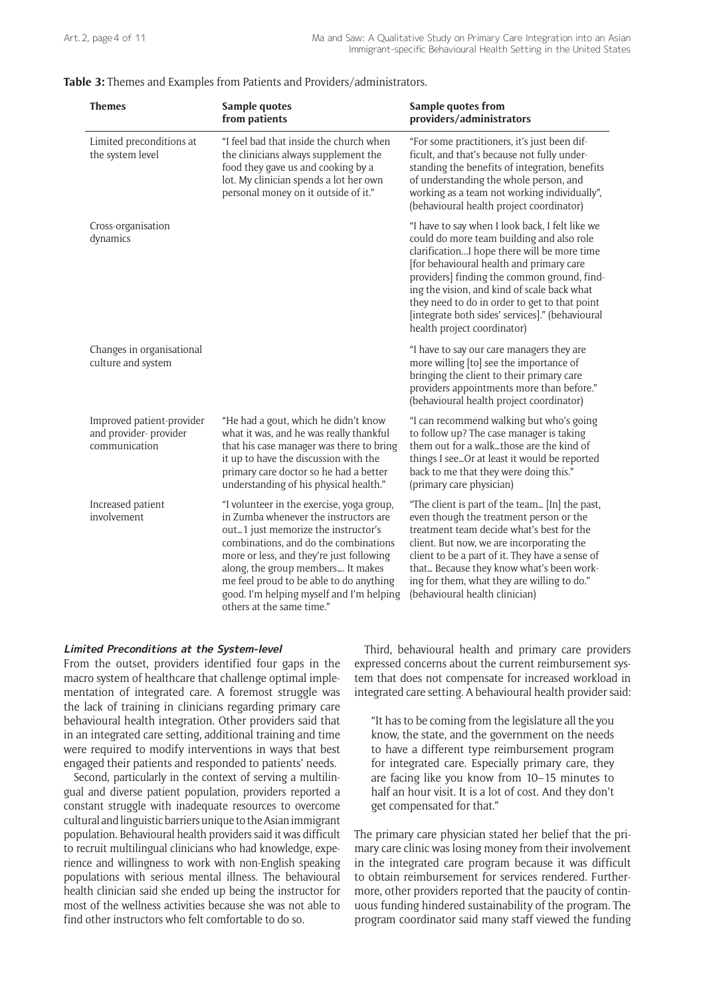|  | Table 3: Themes and Examples from Patients and Providers/administrators. |
|--|--------------------------------------------------------------------------|
|  |                                                                          |

| <b>Themes</b>                                                        | Sample quotes<br>from patients                                                                                                                                                                                                                                                                                                                                          | Sample quotes from<br>providers/administrators                                                                                                                                                                                                                                                                                                                                                                           |
|----------------------------------------------------------------------|-------------------------------------------------------------------------------------------------------------------------------------------------------------------------------------------------------------------------------------------------------------------------------------------------------------------------------------------------------------------------|--------------------------------------------------------------------------------------------------------------------------------------------------------------------------------------------------------------------------------------------------------------------------------------------------------------------------------------------------------------------------------------------------------------------------|
| Limited preconditions at<br>the system level                         | "I feel bad that inside the church when<br>the clinicians always supplement the<br>food they gave us and cooking by a<br>lot. My clinician spends a lot her own<br>personal money on it outside of it."                                                                                                                                                                 | "For some practitioners, it's just been dif-<br>ficult, and that's because not fully under-<br>standing the benefits of integration, benefits<br>of understanding the whole person, and<br>working as a team not working individually",<br>(behavioural health project coordinator)                                                                                                                                      |
| Cross-organisation<br>dynamics                                       |                                                                                                                                                                                                                                                                                                                                                                         | "I have to say when I look back, I felt like we<br>could do more team building and also role<br>clarificationI hope there will be more time<br>[for behavioural health and primary care<br>providers] finding the common ground, find-<br>ing the vision, and kind of scale back what<br>they need to do in order to get to that point<br>[integrate both sides' services]." (behavioural<br>health project coordinator) |
| Changes in organisational<br>culture and system                      |                                                                                                                                                                                                                                                                                                                                                                         | "I have to say our care managers they are<br>more willing [to] see the importance of<br>bringing the client to their primary care<br>providers appointments more than before."<br>(behavioural health project coordinator)                                                                                                                                                                                               |
| Improved patient-provider<br>and provider- provider<br>communication | "He had a gout, which he didn't know<br>what it was, and he was really thankful<br>that his case manager was there to bring<br>it up to have the discussion with the<br>primary care doctor so he had a better<br>understanding of his physical health."                                                                                                                | "I can recommend walking but who's going<br>to follow up? The case manager is taking<br>them out for a walkthose are the kind of<br>things I seeOr at least it would be reported<br>back to me that they were doing this."<br>(primary care physician)                                                                                                                                                                   |
| Increased patient<br>involvement                                     | "I volunteer in the exercise, yoga group,<br>in Zumba whenever the instructors are<br>out1 just memorize the instructor's<br>combinations, and do the combinations<br>more or less, and they're just following<br>along, the group members It makes<br>me feel proud to be able to do anything<br>good. I'm helping myself and I'm helping<br>others at the same time." | "The client is part of the team [In] the past,<br>even though the treatment person or the<br>treatment team decide what's best for the<br>client. But now, we are incorporating the<br>client to be a part of it. They have a sense of<br>that Because they know what's been work-<br>ing for them, what they are willing to do."<br>(behavioural health clinician)                                                      |

#### **Limited Preconditions at the System-level**

From the outset, providers identified four gaps in the macro system of healthcare that challenge optimal implementation of integrated care. A foremost struggle was the lack of training in clinicians regarding primary care behavioural health integration. Other providers said that in an integrated care setting, additional training and time were required to modify interventions in ways that best engaged their patients and responded to patients' needs.

Second, particularly in the context of serving a multilingual and diverse patient population, providers reported a constant struggle with inadequate resources to overcome cultural and linguistic barriers unique to the Asian immigrant population. Behavioural health providers said it was difficult to recruit multilingual clinicians who had knowledge, experience and willingness to work with non-English speaking populations with serious mental illness. The behavioural health clinician said she ended up being the instructor for most of the wellness activities because she was not able to find other instructors who felt comfortable to do so.

Third, behavioural health and primary care providers expressed concerns about the current reimbursement system that does not compensate for increased workload in integrated care setting. A behavioural health provider said:

"It has to be coming from the legislature all the you know, the state, and the government on the needs to have a different type reimbursement program for integrated care. Especially primary care, they are facing like you know from 10–15 minutes to half an hour visit. It is a lot of cost. And they don't get compensated for that."

The primary care physician stated her belief that the primary care clinic was losing money from their involvement in the integrated care program because it was difficult to obtain reimbursement for services rendered. Furthermore, other providers reported that the paucity of continuous funding hindered sustainability of the program. The program coordinator said many staff viewed the funding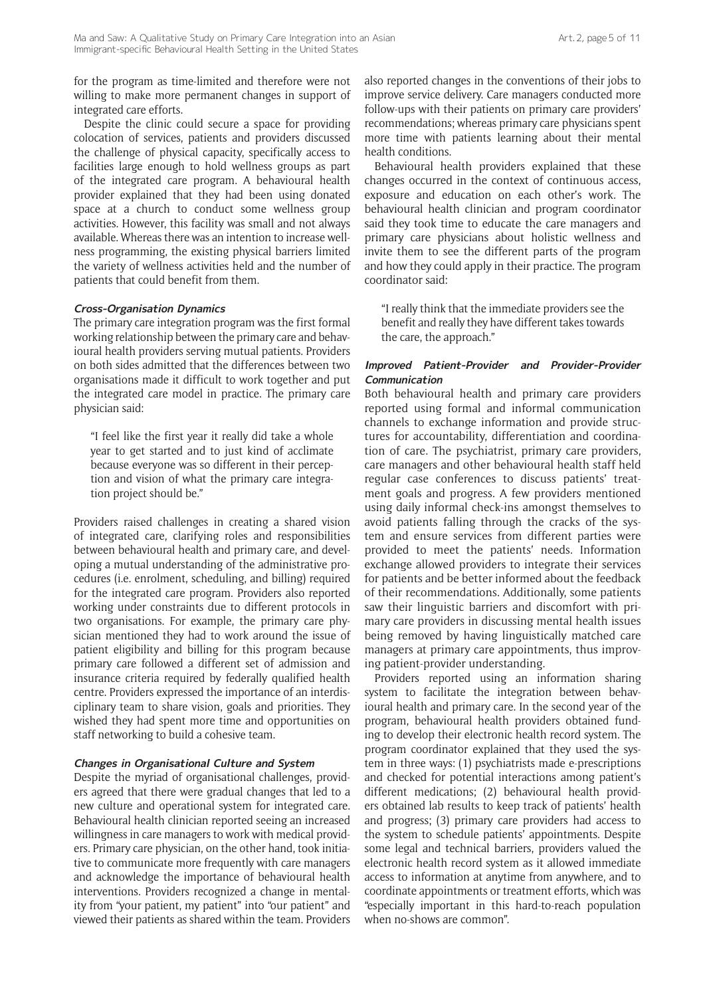for the program as time-limited and therefore were not willing to make more permanent changes in support of integrated care efforts.

Despite the clinic could secure a space for providing colocation of services, patients and providers discussed the challenge of physical capacity, specifically access to facilities large enough to hold wellness groups as part of the integrated care program. A behavioural health provider explained that they had been using donated space at a church to conduct some wellness group activities. However, this facility was small and not always available. Whereas there was an intention to increase wellness programming, the existing physical barriers limited the variety of wellness activities held and the number of patients that could benefit from them.

## **Cross-Organisation Dynamics**

The primary care integration program was the first formal working relationship between the primary care and behavioural health providers serving mutual patients. Providers on both sides admitted that the differences between two organisations made it difficult to work together and put the integrated care model in practice. The primary care physician said:

"I feel like the first year it really did take a whole year to get started and to just kind of acclimate because everyone was so different in their perception and vision of what the primary care integration project should be."

Providers raised challenges in creating a shared vision of integrated care, clarifying roles and responsibilities between behavioural health and primary care, and developing a mutual understanding of the administrative procedures (i.e. enrolment, scheduling, and billing) required for the integrated care program. Providers also reported working under constraints due to different protocols in two organisations. For example, the primary care physician mentioned they had to work around the issue of patient eligibility and billing for this program because primary care followed a different set of admission and insurance criteria required by federally qualified health centre. Providers expressed the importance of an interdisciplinary team to share vision, goals and priorities. They wished they had spent more time and opportunities on staff networking to build a cohesive team.

#### **Changes in Organisational Culture and System**

Despite the myriad of organisational challenges, providers agreed that there were gradual changes that led to a new culture and operational system for integrated care. Behavioural health clinician reported seeing an increased willingness in care managers to work with medical providers. Primary care physician, on the other hand, took initiative to communicate more frequently with care managers and acknowledge the importance of behavioural health interventions. Providers recognized a change in mentality from "your patient, my patient" into "our patient" and viewed their patients as shared within the team. Providers

also reported changes in the conventions of their jobs to improve service delivery. Care managers conducted more follow-ups with their patients on primary care providers' recommendations; whereas primary care physicians spent more time with patients learning about their mental health conditions.

Behavioural health providers explained that these changes occurred in the context of continuous access, exposure and education on each other's work. The behavioural health clinician and program coordinator said they took time to educate the care managers and primary care physicians about holistic wellness and invite them to see the different parts of the program and how they could apply in their practice. The program coordinator said:

"I really think that the immediate providers see the benefit and really they have different takes towards the care, the approach."

#### **Improved Patient-Provider and Provider-Provider Communication**

Both behavioural health and primary care providers reported using formal and informal communication channels to exchange information and provide structures for accountability, differentiation and coordination of care. The psychiatrist, primary care providers, care managers and other behavioural health staff held regular case conferences to discuss patients' treatment goals and progress. A few providers mentioned using daily informal check-ins amongst themselves to avoid patients falling through the cracks of the system and ensure services from different parties were provided to meet the patients' needs. Information exchange allowed providers to integrate their services for patients and be better informed about the feedback of their recommendations. Additionally, some patients saw their linguistic barriers and discomfort with primary care providers in discussing mental health issues being removed by having linguistically matched care managers at primary care appointments, thus improving patient-provider understanding.

Providers reported using an information sharing system to facilitate the integration between behavioural health and primary care. In the second year of the program, behavioural health providers obtained funding to develop their electronic health record system. The program coordinator explained that they used the system in three ways: (1) psychiatrists made e-prescriptions and checked for potential interactions among patient's different medications; (2) behavioural health providers obtained lab results to keep track of patients' health and progress; (3) primary care providers had access to the system to schedule patients' appointments. Despite some legal and technical barriers, providers valued the electronic health record system as it allowed immediate access to information at anytime from anywhere, and to coordinate appointments or treatment efforts, which was "especially important in this hard-to-reach population when no-shows are common".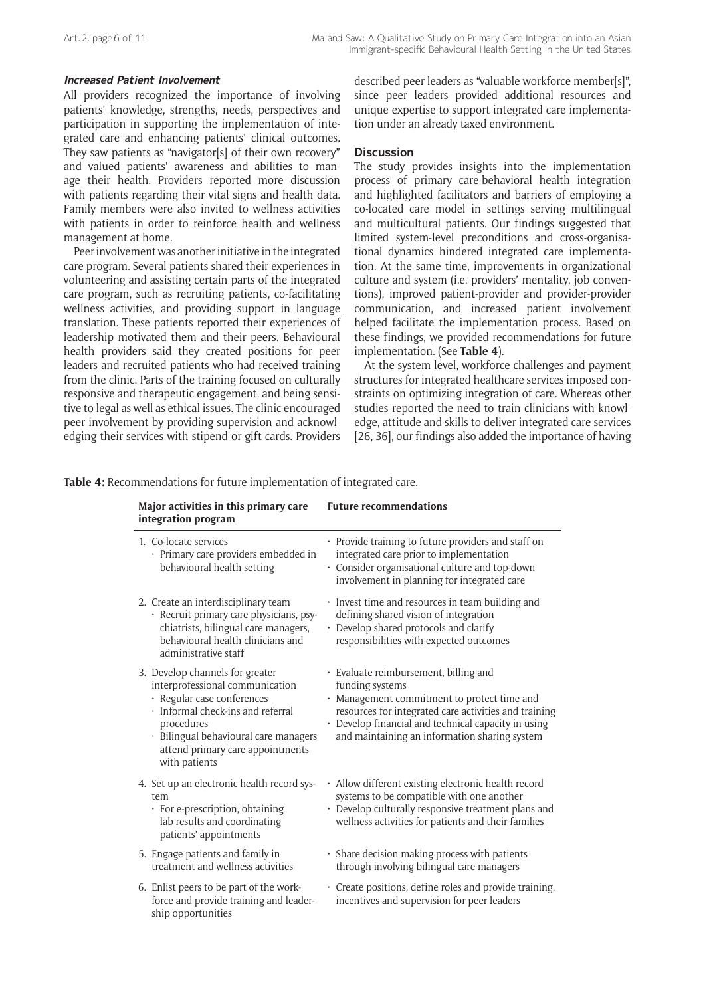#### **Increased Patient Involvement**

All providers recognized the importance of involving patients' knowledge, strengths, needs, perspectives and participation in supporting the implementation of integrated care and enhancing patients' clinical outcomes. They saw patients as "navigator[s] of their own recovery" and valued patients' awareness and abilities to manage their health. Providers reported more discussion with patients regarding their vital signs and health data. Family members were also invited to wellness activities with patients in order to reinforce health and wellness management at home.

Peer involvement was another initiative in the integrated care program. Several patients shared their experiences in volunteering and assisting certain parts of the integrated care program, such as recruiting patients, co-facilitating wellness activities, and providing support in language translation. These patients reported their experiences of leadership motivated them and their peers. Behavioural health providers said they created positions for peer leaders and recruited patients who had received training from the clinic. Parts of the training focused on culturally responsive and therapeutic engagement, and being sensitive to legal as well as ethical issues. The clinic encouraged peer involvement by providing supervision and acknowledging their services with stipend or gift cards. Providers

described peer leaders as "valuable workforce member[s]", since peer leaders provided additional resources and unique expertise to support integrated care implementation under an already taxed environment.

#### **Discussion**

The study provides insights into the implementation process of primary care-behavioral health integration and highlighted facilitators and barriers of employing a co-located care model in settings serving multilingual and multicultural patients. Our findings suggested that limited system-level preconditions and cross-organisational dynamics hindered integrated care implementation. At the same time, improvements in organizational culture and system (i.e. providers' mentality, job conventions), improved patient-provider and provider-provider communication, and increased patient involvement helped facilitate the implementation process. Based on these findings, we provided recommendations for future implementation. (See **Table 4**).

At the system level, workforce challenges and payment structures for integrated healthcare services imposed constraints on optimizing integration of care. Whereas other studies reported the need to train clinicians with knowledge, attitude and skills to deliver integrated care services [26, 36], our findings also added the importance of having

**Table 4:** Recommendations for future implementation of integrated care.

| integration program                                                                          | Major activities in this primary care                                                                                                             | <b>Future recommendations</b>                                                                                                                                                                                                                                            |
|----------------------------------------------------------------------------------------------|---------------------------------------------------------------------------------------------------------------------------------------------------|--------------------------------------------------------------------------------------------------------------------------------------------------------------------------------------------------------------------------------------------------------------------------|
| 1. Co-locate services<br>behavioural health setting                                          | · Primary care providers embedded in                                                                                                              | · Provide training to future providers and staff on<br>integrated care prior to implementation<br>· Consider organisational culture and top-down<br>involvement in planning for integrated care                                                                          |
| 2. Create an interdisciplinary team<br>administrative staff                                  | · Recruit primary care physicians, psy-<br>chiatrists, bilingual care managers,<br>behavioural health clinicians and                              | · Invest time and resources in team building and<br>defining shared vision of integration<br>· Develop shared protocols and clarify<br>responsibilities with expected outcomes                                                                                           |
| 3. Develop channels for greater<br>· Regular case conferences<br>procedures<br>with patients | interprofessional communication<br>· Informal check-ins and referral<br>· Bilingual behavioural care managers<br>attend primary care appointments | · Evaluate reimbursement, billing and<br>funding systems<br>· Management commitment to protect time and<br>resources for integrated care activities and training<br>· Develop financial and technical capacity in using<br>and maintaining an information sharing system |
| tem<br>patients' appointments                                                                | 4. Set up an electronic health record sys-<br>· For e-prescription, obtaining<br>lab results and coordinating                                     | · Allow different existing electronic health record<br>systems to be compatible with one another<br>· Develop culturally responsive treatment plans and<br>wellness activities for patients and their families                                                           |
| 5. Engage patients and family in                                                             | treatment and wellness activities                                                                                                                 | · Share decision making process with patients<br>through involving bilingual care managers                                                                                                                                                                               |
| ship opportunities                                                                           | 6. Enlist peers to be part of the work-<br>force and provide training and leader-                                                                 | · Create positions, define roles and provide training,<br>incentives and supervision for peer leaders                                                                                                                                                                    |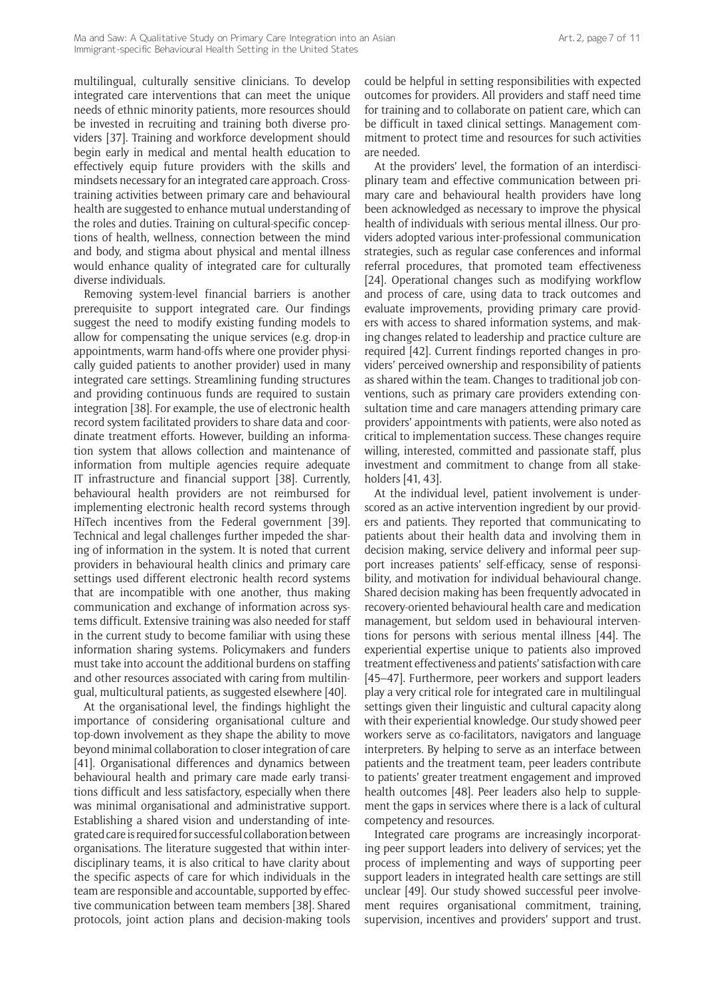multilingual, culturally sensitive clinicians. To develop integrated care interventions that can meet the unique needs of ethnic minority patients, more resources should be invested in recruiting and training both diverse providers [37]. Training and workforce development should begin early in medical and mental health education to effectively equip future providers with the skills and mindsets necessary for an integrated care approach. Crosstraining activities between primary care and behavioural health are suggested to enhance mutual understanding of the roles and duties. Training on cultural-specific conceptions of health, wellness, connection between the mind and body, and stigma about physical and mental illness would enhance quality of integrated care for culturally diverse individuals.

Removing system-level financial barriers is another prerequisite to support integrated care. Our findings suggest the need to modify existing funding models to allow for compensating the unique services (e.g. drop-in appointments, warm hand-offs where one provider physically guided patients to another provider) used in many integrated care settings. Streamlining funding structures and providing continuous funds are required to sustain integration [38]. For example, the use of electronic health record system facilitated providers to share data and coordinate treatment efforts. However, building an information system that allows collection and maintenance of information from multiple agencies require adequate IT infrastructure and financial support [38]. Currently, behavioural health providers are not reimbursed for implementing electronic health record systems through HiTech incentives from the Federal government [39]. Technical and legal challenges further impeded the sharing of information in the system. It is noted that current providers in behavioural health clinics and primary care settings used different electronic health record systems that are incompatible with one another, thus making communication and exchange of information across systems difficult. Extensive training was also needed for staff in the current study to become familiar with using these information sharing systems. Policymakers and funders must take into account the additional burdens on staffing and other resources associated with caring from multilingual, multicultural patients, as suggested elsewhere [40].

At the organisational level, the findings highlight the importance of considering organisational culture and top-down involvement as they shape the ability to move beyond minimal collaboration to closer integration of care [41]. Organisational differences and dynamics between behavioural health and primary care made early transitions difficult and less satisfactory, especially when there was minimal organisational and administrative support. Establishing a shared vision and understanding of integrated care is required for successful collaboration between organisations. The literature suggested that within interdisciplinary teams, it is also critical to have clarity about the specific aspects of care for which individuals in the team are responsible and accountable, supported by effective communication between team members [38]. Shared protocols, joint action plans and decision-making tools could be helpful in setting responsibilities with expected outcomes for providers. All providers and staff need time for training and to collaborate on patient care, which can be difficult in taxed clinical settings. Management commitment to protect time and resources for such activities are needed.

At the providers' level, the formation of an interdisciplinary team and effective communication between primary care and behavioural health providers have long been acknowledged as necessary to improve the physical health of individuals with serious mental illness. Our providers adopted various inter-professional communication strategies, such as regular case conferences and informal referral procedures, that promoted team effectiveness [24]. Operational changes such as modifying workflow and process of care, using data to track outcomes and evaluate improvements, providing primary care providers with access to shared information systems, and making changes related to leadership and practice culture are required [42]. Current findings reported changes in providers' perceived ownership and responsibility of patients as shared within the team. Changes to traditional job conventions, such as primary care providers extending consultation time and care managers attending primary care providers' appointments with patients, were also noted as critical to implementation success. These changes require willing, interested, committed and passionate staff, plus investment and commitment to change from all stakeholders [41, 43].

At the individual level, patient involvement is underscored as an active intervention ingredient by our providers and patients. They reported that communicating to patients about their health data and involving them in decision making, service delivery and informal peer support increases patients' self-efficacy, sense of responsibility, and motivation for individual behavioural change. Shared decision making has been frequently advocated in recovery-oriented behavioural health care and medication management, but seldom used in behavioural interventions for persons with serious mental illness [44]. The experiential expertise unique to patients also improved treatment effectiveness and patients' satisfaction with care [45–47]. Furthermore, peer workers and support leaders play a very critical role for integrated care in multilingual settings given their linguistic and cultural capacity along with their experiential knowledge. Our study showed peer workers serve as co-facilitators, navigators and language interpreters. By helping to serve as an interface between patients and the treatment team, peer leaders contribute to patients' greater treatment engagement and improved health outcomes [48]. Peer leaders also help to supplement the gaps in services where there is a lack of cultural competency and resources.

Integrated care programs are increasingly incorporating peer support leaders into delivery of services; yet the process of implementing and ways of supporting peer support leaders in integrated health care settings are still unclear [49]. Our study showed successful peer involvement requires organisational commitment, training, supervision, incentives and providers' support and trust.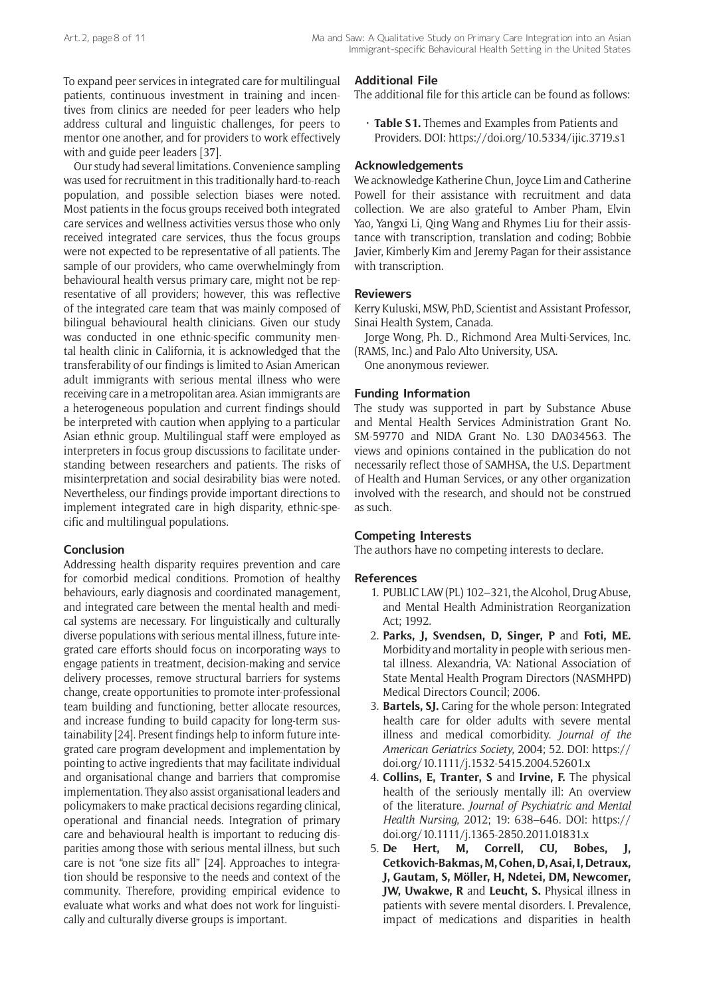To expand peer services in integrated care for multilingual patients, continuous investment in training and incentives from clinics are needed for peer leaders who help address cultural and linguistic challenges, for peers to mentor one another, and for providers to work effectively with and guide peer leaders [37].

Our study had several limitations. Convenience sampling was used for recruitment in this traditionally hard-to-reach population, and possible selection biases were noted. Most patients in the focus groups received both integrated care services and wellness activities versus those who only received integrated care services, thus the focus groups were not expected to be representative of all patients. The sample of our providers, who came overwhelmingly from behavioural health versus primary care, might not be representative of all providers; however, this was reflective of the integrated care team that was mainly composed of bilingual behavioural health clinicians. Given our study was conducted in one ethnic-specific community mental health clinic in California, it is acknowledged that the transferability of our findings is limited to Asian American adult immigrants with serious mental illness who were receiving care in a metropolitan area. Asian immigrants are a heterogeneous population and current findings should be interpreted with caution when applying to a particular Asian ethnic group. Multilingual staff were employed as interpreters in focus group discussions to facilitate understanding between researchers and patients. The risks of misinterpretation and social desirability bias were noted. Nevertheless, our findings provide important directions to implement integrated care in high disparity, ethnic-specific and multilingual populations.

## **Conclusion**

Addressing health disparity requires prevention and care for comorbid medical conditions. Promotion of healthy behaviours, early diagnosis and coordinated management, and integrated care between the mental health and medical systems are necessary. For linguistically and culturally diverse populations with serious mental illness, future integrated care efforts should focus on incorporating ways to engage patients in treatment, decision-making and service delivery processes, remove structural barriers for systems change, create opportunities to promote inter-professional team building and functioning, better allocate resources, and increase funding to build capacity for long-term sustainability [24]. Present findings help to inform future integrated care program development and implementation by pointing to active ingredients that may facilitate individual and organisational change and barriers that compromise implementation. They also assist organisational leaders and policymakers to make practical decisions regarding clinical, operational and financial needs. Integration of primary care and behavioural health is important to reducing disparities among those with serious mental illness, but such care is not "one size fits all" [24]. Approaches to integration should be responsive to the needs and context of the community. Therefore, providing empirical evidence to evaluate what works and what does not work for linguistically and culturally diverse groups is important.

## **Additional File**

The additional file for this article can be found as follows:

• **Table S1.** Themes and Examples from Patients and Providers. DOI: <https://doi.org/10.5334/ijic.3719.s1>

## **Acknowledgements**

We acknowledge Katherine Chun, Joyce Lim and Catherine Powell for their assistance with recruitment and data collection. We are also grateful to Amber Pham, Elvin Yao, Yangxi Li, Qing Wang and Rhymes Liu for their assistance with transcription, translation and coding; Bobbie Javier, Kimberly Kim and Jeremy Pagan for their assistance with transcription.

## **Reviewers**

Kerry Kuluski, MSW, PhD, Scientist and Assistant Professor, Sinai Health System, Canada.

Jorge Wong, Ph. D., Richmond Area Multi-Services, Inc. (RAMS, Inc.) and Palo Alto University, USA.

One anonymous reviewer.

## **Funding Information**

The study was supported in part by Substance Abuse and Mental Health Services Administration Grant No. SM-59770 and NIDA Grant No. L30 DA034563. The views and opinions contained in the publication do not necessarily reflect those of SAMHSA, the U.S. Department of Health and Human Services, or any other organization involved with the research, and should not be construed as such.

## **Competing Interests**

The authors have no competing interests to declare.

## **References**

- 1. PUBLIC LAW (PL) 102–321, the Alcohol, Drug Abuse, and Mental Health Administration Reorganization Act; 1992.
- 2. **Parks, J, Svendsen, D, Singer, P** and **Foti, ME.** Morbidity and mortality in people with serious mental illness. Alexandria, VA: National Association of State Mental Health Program Directors (NASMHPD) Medical Directors Council; 2006.
- 3. **Bartels, SJ.** Caring for the whole person: Integrated health care for older adults with severe mental illness and medical comorbidity. *Journal of the American Geriatrics Society*, 2004; 52. DOI: [https://](https://doi.org/10.1111/j.1532-5415.2004.52601.x) [doi.org/10.1111/j.1532-5415.2004.52601.x](https://doi.org/10.1111/j.1532-5415.2004.52601.x)
- 4. **Collins, E, Tranter, S** and **Irvine, F.** The physical health of the seriously mentally ill: An overview of the literature. *Journal of Psychiatric and Mental Health Nursing*, 2012; 19: 638–646. DOI: [https://](https://doi.org/10.1111/j.1365-2850.2011.01831.x) [doi.org/10.1111/j.1365-2850.2011.01831.x](https://doi.org/10.1111/j.1365-2850.2011.01831.x)
- 5. **De Hert, M, Correll, CU, Bobes, J, Cetkovich-Bakmas, M, Cohen, D, Asai, I, Detraux, J, Gautam, S, Möller, H, Ndetei, DM, Newcomer, JW, Uwakwe, R** and **Leucht, S.** Physical illness in patients with severe mental disorders. I. Prevalence, impact of medications and disparities in health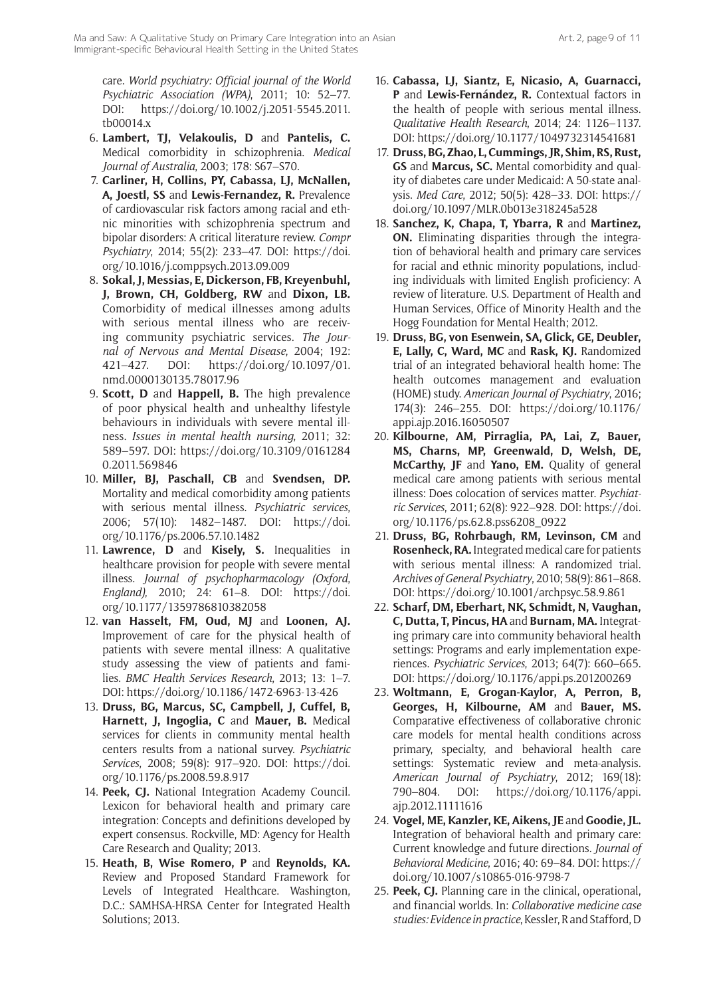care. *World psychiatry: Official journal of the World Psychiatric Association (WPA)*, 2011; 10: 52–77. DOI: [https://doi.org/10.1002/j.2051-5545.2011.](https://doi.org/10.1002/j.2051-5545.2011.tb00014.x) [tb00014.x](https://doi.org/10.1002/j.2051-5545.2011.tb00014.x)

- 6. **Lambert, TJ, Velakoulis, D** and **Pantelis, C.** Medical comorbidity in schizophrenia. *Medical Journal of Australia*, 2003; 178: S67–S70.
- 7. **Carliner, H, Collins, PY, Cabassa, LJ, McNallen, A, Joestl, SS** and **Lewis-Fernandez, R.** Prevalence of cardiovascular risk factors among racial and ethnic minorities with schizophrenia spectrum and bipolar disorders: A critical literature review. *Compr Psychiatry*, 2014; 55(2): 233–47. DOI: [https://doi.](https://doi.org/10.1016/j.comppsych.2013.09.009) [org/10.1016/j.comppsych.2013.09.009](https://doi.org/10.1016/j.comppsych.2013.09.009)
- 8. **Sokal, J, Messias, E, Dickerson, FB, Kreyenbuhl, J, Brown, CH, Goldberg, RW** and **Dixon, LB.**  Comorbidity of medical illnesses among adults with serious mental illness who are receiving community psychiatric services. *The Journal of Nervous and Mental Disease*, 2004; 192: 421–427. DOI: [https://doi.org/10.1097/01.](https://doi.org/10.1097/01.nmd.0000130135.78017.96) [nmd.0000130135.78017.96](https://doi.org/10.1097/01.nmd.0000130135.78017.96)
- 9. **Scott, D** and **Happell, B.** The high prevalence of poor physical health and unhealthy lifestyle behaviours in individuals with severe mental illness. *Issues in mental health nursing*, 2011; 32: 589–597. DOI: [https://doi.org/10.3109/0161284](https://doi.org/10.3109/01612840.2011.569846) [0.2011.569846](https://doi.org/10.3109/01612840.2011.569846)
- 10. **Miller, BJ, Paschall, CB** and **Svendsen, DP.** Mortality and medical comorbidity among patients with serious mental illness. *Psychiatric services*, 2006; 57(10): 1482–1487. DOI: [https://doi.](https://doi.org/10.1176/ps.2006.57.10.1482) [org/10.1176/ps.2006.57.10.1482](https://doi.org/10.1176/ps.2006.57.10.1482)
- 11. **Lawrence, D** and **Kisely, S.** Inequalities in healthcare provision for people with severe mental illness. *Journal of psychopharmacology (Oxford*, *England)*, 2010; 24: 61–8. DOI: [https://doi.](https://doi.org/10.1177/1359786810382058) [org/10.1177/1359786810382058](https://doi.org/10.1177/1359786810382058)
- 12. **van Hasselt, FM, Oud, MJ** and **Loonen, AJ.** Improvement of care for the physical health of patients with severe mental illness: A qualitative study assessing the view of patients and families. *BMC Health Services Research*, 2013; 13: 1–7. DOI:<https://doi.org/10.1186/1472-6963-13-426>
- 13. **Druss, BG, Marcus, SC, Campbell, J, Cuffel, B, Harnett, J, Ingoglia, C** and **Mauer, B.** Medical services for clients in community mental health centers results from a national survey. *Psychiatric Services*, 2008; 59(8): 917–920. DOI: [https://doi.](https://doi.org/10.1176/ps.2008.59.8.917) [org/10.1176/ps.2008.59.8.917](https://doi.org/10.1176/ps.2008.59.8.917)
- 14. **Peek, CJ.** National Integration Academy Council. Lexicon for behavioral health and primary care integration: Concepts and definitions developed by expert consensus. Rockville, MD: Agency for Health Care Research and Quality; 2013.
- 15. **Heath, B, Wise Romero, P** and **Reynolds, KA.**  Review and Proposed Standard Framework for Levels of Integrated Healthcare. Washington, D.C.: SAMHSA-HRSA Center for Integrated Health Solutions; 2013.
- 16. **Cabassa, LJ, Siantz, E, Nicasio, A, Guarnacci, P** and **Lewis-Fernández, R.** Contextual factors in the health of people with serious mental illness. *Qualitative Health Research*, 2014; 24: 1126–1137. DOI: <https://doi.org/10.1177/1049732314541681>
- 17. **Druss, BG, Zhao, L, Cummings, JR, Shim, RS, Rust, GS** and **Marcus, SC.** Mental comorbidity and quality of diabetes care under Medicaid: A 50-state analysis. *Med Care*, 2012; 50(5): 428–33. DOI: [https://](https://doi.org/10.1097/MLR.0b013e318245a528) [doi.org/10.1097/MLR.0b013e318245a528](https://doi.org/10.1097/MLR.0b013e318245a528)
- 18. **Sanchez, K, Chapa, T, Ybarra, R** and **Martinez, ON.** Eliminating disparities through the integration of behavioral health and primary care services for racial and ethnic minority populations, including individuals with limited English proficiency: A review of literature. U.S. Department of Health and Human Services, Office of Minority Health and the Hogg Foundation for Mental Health; 2012.
- 19. **Druss, BG, von Esenwein, SA, Glick, GE, Deubler, E, Lally, C, Ward, MC** and **Rask, KJ.** Randomized trial of an integrated behavioral health home: The health outcomes management and evaluation (HOME) study. *American Journal of Psychiatry*, 2016; 174(3): 246–255. DOI: [https://doi.org/10.1176/](https://doi.org/10.1176/appi.ajp.2016.16050507) [appi.ajp.2016.16050507](https://doi.org/10.1176/appi.ajp.2016.16050507)
- 20. **Kilbourne, AM, Pirraglia, PA, Lai, Z, Bauer, MS, Charns, MP, Greenwald, D, Welsh, DE, McCarthy, JF** and **Yano, EM.** Quality of general medical care among patients with serious mental illness: Does colocation of services matter. *Psychiatric Services*, 2011; 62(8): 922–928. DOI: [https://doi.](https://doi.org/10.1176/ps.62.8.pss6208_0922) [org/10.1176/ps.62.8.pss6208\\_0922](https://doi.org/10.1176/ps.62.8.pss6208_0922)
- 21. **Druss, BG, Rohrbaugh, RM, Levinson, CM** and **Rosenheck, RA.** Integrated medical care for patients with serious mental illness: A randomized trial. *Archives of General Psychiatry*, 2010; 58(9): 861–868. DOI: <https://doi.org/10.1001/archpsyc.58.9.861>
- 22. **Scharf, DM, Eberhart, NK, Schmidt, N, Vaughan, C, Dutta, T, Pincus, HA** and **Burnam, MA.** Integrating primary care into community behavioral health settings: Programs and early implementation experiences. *Psychiatric Services*, 2013; 64(7): 660–665. DOI: <https://doi.org/10.1176/appi.ps.201200269>
- 23. **Woltmann, E, Grogan-Kaylor, A, Perron, B, Georges, H, Kilbourne, AM** and **Bauer, MS.** Comparative effectiveness of collaborative chronic care models for mental health conditions across primary, specialty, and behavioral health care settings: Systematic review and meta-analysis. *American Journal of Psychiatry*, 2012; 169(18): 790–804. DOI: [https://doi.org/10.1176/appi.](https://doi.org/10.1176/appi.ajp.2012.11111616) [ajp.2012.11111616](https://doi.org/10.1176/appi.ajp.2012.11111616)
- 24. **Vogel, ME, Kanzler, KE, Aikens, JE** and **Goodie, JL.**  Integration of behavioral health and primary care: Current knowledge and future directions. *Journal of Behavioral Medicine*, 2016; 40: 69–84. DOI: [https://](https://doi.org/10.1007/s10865-016-9798-7) [doi.org/10.1007/s10865-016-9798-7](https://doi.org/10.1007/s10865-016-9798-7)
- 25. **Peek, CJ.** Planning care in the clinical, operational, and financial worlds. In: *Collaborative medicine case studies: Evidence in practice*, Kessler, R and Stafford, D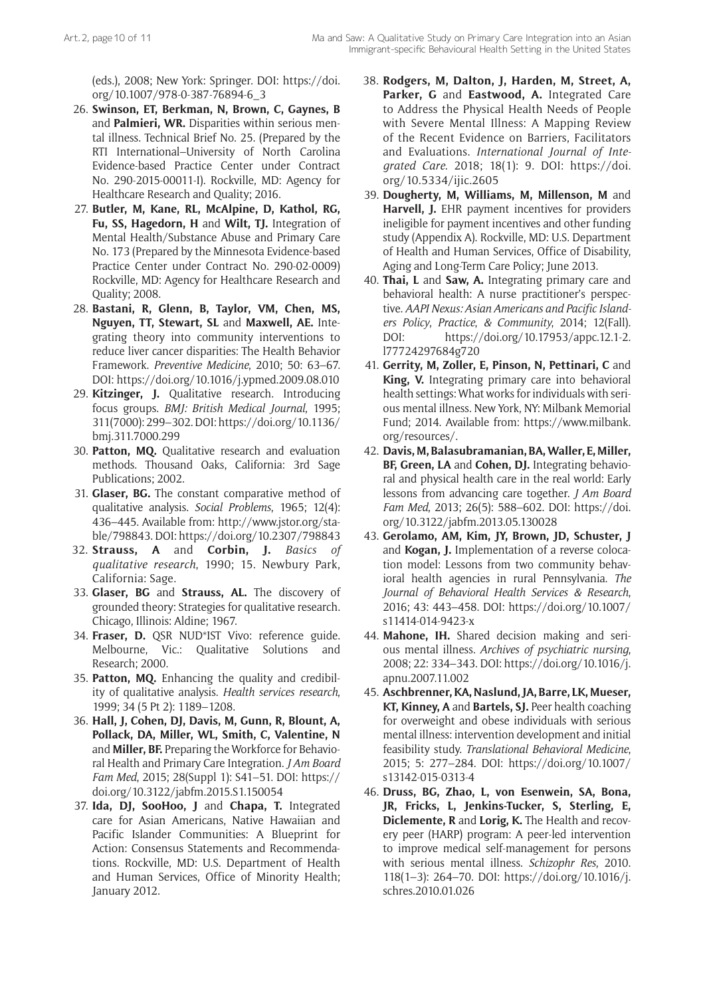(eds.), 2008; New York: Springer. DOI: [https://doi.](https://doi.org/10.1007/978-0-387-76894-6_3) [org/10.1007/978-0-387-76894-6\\_3](https://doi.org/10.1007/978-0-387-76894-6_3)

- 26. **Swinson, ET, Berkman, N, Brown, C, Gaynes, B** and **Palmieri, WR.** Disparities within serious mental illness. Technical Brief No. 25. (Prepared by the RTI International–University of North Carolina Evidence-based Practice Center under Contract No. 290-2015-00011-I). Rockville, MD: Agency for Healthcare Research and Quality; 2016.
- 27. **Butler, M, Kane, RL, McAlpine, D, Kathol, RG, Fu, SS, Hagedorn, H** and **Wilt, TJ.** Integration of Mental Health/Substance Abuse and Primary Care No. 173 (Prepared by the Minnesota Evidence-based Practice Center under Contract No. 290-02-0009) Rockville, MD: Agency for Healthcare Research and Quality; 2008.
- 28. **Bastani, R, Glenn, B, Taylor, VM, Chen, MS, Nguyen, TT, Stewart, SL** and **Maxwell, AE.** Integrating theory into community interventions to reduce liver cancer disparities: The Health Behavior Framework. *Preventive Medicine*, 2010; 50: 63–67. DOI: <https://doi.org/10.1016/j.ypmed.2009.08.010>
- 29. **Kitzinger, J.** Qualitative research. Introducing focus groups. *BMJ: British Medical Journal*, 1995; 311(7000): 299–302. DOI: [https://doi.org/10.1136/](https://doi.org/10.1136/bmj.311.7000.299) [bmj.311.7000.299](https://doi.org/10.1136/bmj.311.7000.299)
- 30. **Patton, MQ.** Qualitative research and evaluation methods. Thousand Oaks, California: 3rd Sage Publications; 2002.
- 31. **Glaser, BG.** The constant comparative method of qualitative analysis. *Social Problems*, 1965; 12(4): 436–445. Available from: [http://www.jstor.org/sta](http://www.jstor.org/stable/798843)[ble/798843](http://www.jstor.org/stable/798843). DOI:<https://doi.org/10.2307/798843>
- 32. **Strauss, A** and **Corbin, J.** *Basics of qualitative research*, 1990; 15. Newbury Park, California: Sage.
- 33. **Glaser, BG** and **Strauss, AL.** The discovery of grounded theory: Strategies for qualitative research. Chicago, Illinois: Aldine; 1967.
- 34. **Fraser, D.** QSR NUD\*IST Vivo: reference guide. Melbourne, Vic.: Qualitative Solutions and Research; 2000.
- 35. **Patton, MQ.** Enhancing the quality and credibility of qualitative analysis. *Health services research*, 1999; 34 (5 Pt 2): 1189–1208.
- 36. **Hall, J, Cohen, DJ, Davis, M, Gunn, R, Blount, A, Pollack, DA, Miller, WL, Smith, C, Valentine, N** and **Miller, BF.** Preparing the Workforce for Behavioral Health and Primary Care Integration. *J Am Board Fam Med*, 2015; 28(Suppl 1): S41–51. DOI: [https://](https://doi.org/10.3122/jabfm.2015.S1.150054) [doi.org/10.3122/jabfm.2015.S1.150054](https://doi.org/10.3122/jabfm.2015.S1.150054)
- 37. **Ida, DJ, SooHoo, J** and **Chapa, T.** Integrated care for Asian Americans, Native Hawaiian and Pacific Islander Communities: A Blueprint for Action: Consensus Statements and Recommendations. Rockville, MD: U.S. Department of Health and Human Services, Office of Minority Health; January 2012.
- 38. **Rodgers, M, Dalton, J, Harden, M, Street, A, Parker, G** and **Eastwood, A.** Integrated Care to Address the Physical Health Needs of People with Severe Mental Illness: A Mapping Review of the Recent Evidence on Barriers, Facilitators and Evaluations. *International Journal of Integrated Care*. 2018; 18(1): 9. DOI: [https://doi.](https://doi.org/10.5334/ijic.2605) [org/10.5334/ijic.2605](https://doi.org/10.5334/ijic.2605)
- 39. **Dougherty, M, Williams, M, Millenson, M** and **Harvell, J.** EHR payment incentives for providers ineligible for payment incentives and other funding study (Appendix A). Rockville, MD: U.S. Department of Health and Human Services, Office of Disability, Aging and Long-Term Care Policy; June 2013.
- 40. **Thai, L** and **Saw, A.** Integrating primary care and behavioral health: A nurse practitioner's perspective. *AAPI Nexus: Asian Americans and Pacific Islanders Policy*, *Practice*, *& Community*, 2014; 12(Fall). DOI: [https://doi.org/10.17953/appc.12.1-2.](https://doi.org/10.17953/appc.12.1-2.l77724297684g720) [l77724297684g720](https://doi.org/10.17953/appc.12.1-2.l77724297684g720)
- 41. **Gerrity, M, Zoller, E, Pinson, N, Pettinari, C** and **King, V.** Integrating primary care into behavioral health settings: What works for individuals with serious mental illness. New York, NY: Milbank Memorial Fund; 2014. Available from: [https://www.milbank.](https://www.milbank.org/resources/) [org/resources/.](https://www.milbank.org/resources/)
- 42. **Davis, M, Balasubramanian, BA, Waller, E, Miller, BF, Green, LA** and **Cohen, DJ.** Integrating behavioral and physical health care in the real world: Early lessons from advancing care together. *J Am Board Fam Med*, 2013; 26(5): 588–602. DOI: [https://doi.](https://doi.org/10.3122/jabfm.2013.05.130028) [org/10.3122/jabfm.2013.05.130028](https://doi.org/10.3122/jabfm.2013.05.130028)
- 43. **Gerolamo, AM, Kim, JY, Brown, JD, Schuster, J** and **Kogan, J.** Implementation of a reverse colocation model: Lessons from two community behavioral health agencies in rural Pennsylvania. *The Journal of Behavioral Health Services & Research*, 2016; 43: 443–458. DOI: [https://doi.org/10.1007/](https://doi.org/10.1007/s11414-014-9423-x) [s11414-014-9423-x](https://doi.org/10.1007/s11414-014-9423-x)
- 44. **Mahone, IH.** Shared decision making and serious mental illness. *Archives of psychiatric nursing*, 2008; 22: 334–343. DOI: [https://doi.org/10.1016/j.](https://doi.org/10.1016/j.apnu.2007.11.002) [apnu.2007.11.002](https://doi.org/10.1016/j.apnu.2007.11.002)
- 45. **Aschbrenner, KA, Naslund, JA, Barre, LK, Mueser, KT, Kinney, A** and **Bartels, SJ.** Peer health coaching for overweight and obese individuals with serious mental illness: intervention development and initial feasibility study. *Translational Behavioral Medicine*, 2015; 5: 277–284. DOI: [https://doi.org/10.1007/](https://doi.org/10.1007/s13142-015-0313-4) [s13142-015-0313-4](https://doi.org/10.1007/s13142-015-0313-4)
- 46. **Druss, BG, Zhao, L, von Esenwein, SA, Bona, JR, Fricks, L, Jenkins-Tucker, S, Sterling, E, Diclemente, R** and **Lorig, K.** The Health and recovery peer (HARP) program: A peer-led intervention to improve medical self-management for persons with serious mental illness. *Schizophr Res*, 2010. 118(1–3): 264–70. DOI: [https://doi.org/10.1016/j.](https://doi.org/10.1016/j.schres.2010.01.026) [schres.2010.01.026](https://doi.org/10.1016/j.schres.2010.01.026)